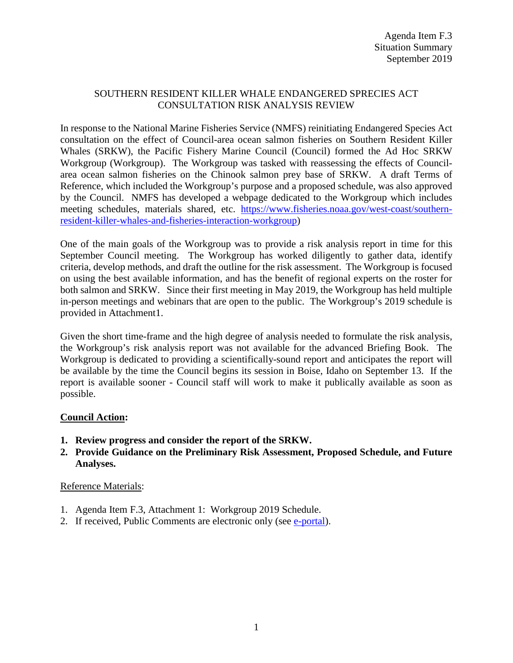## SOUTHERN RESIDENT KILLER WHALE ENDANGERED SPRECIES ACT CONSULTATION RISK ANALYSIS REVIEW

In response to the National Marine Fisheries Service (NMFS) reinitiating Endangered Species Act consultation on the effect of Council-area ocean salmon fisheries on Southern Resident Killer Whales (SRKW), the Pacific Fishery Marine Council (Council) formed the Ad Hoc SRKW Workgroup (Workgroup). The Workgroup was tasked with reassessing the effects of Councilarea ocean salmon fisheries on the Chinook salmon prey base of SRKW. A draft Terms of Reference, which included the Workgroup's purpose and a proposed schedule, was also approved by the Council. NMFS has developed a webpage dedicated to the Workgroup which includes meeting schedules, materials shared, etc. [https://www.fisheries.noaa.gov/west-coast/southern](https://www.fisheries.noaa.gov/west-coast/southern-resident-killer-whales-and-fisheries-interaction-workgroup)[resident-killer-whales-and-fisheries-interaction-workgroup\)](https://www.fisheries.noaa.gov/west-coast/southern-resident-killer-whales-and-fisheries-interaction-workgroup)

One of the main goals of the Workgroup was to provide a risk analysis report in time for this September Council meeting. The Workgroup has worked diligently to gather data, identify criteria, develop methods, and draft the outline for the risk assessment. The Workgroup is focused on using the best available information, and has the benefit of regional experts on the roster for both salmon and SRKW. Since their first meeting in May 2019, the Workgroup has held multiple in-person meetings and webinars that are open to the public. The Workgroup's 2019 schedule is provided in Attachment1.

Given the short time-frame and the high degree of analysis needed to formulate the risk analysis, the Workgroup's risk analysis report was not available for the advanced Briefing Book. The Workgroup is dedicated to providing a scientifically-sound report and anticipates the report will be available by the time the Council begins its session in Boise, Idaho on September 13. If the report is available sooner - Council staff will work to make it publically available as soon as possible.

## **Council Action:**

- **1. Review progress and consider the report of the SRKW.**
- **2. Provide Guidance on the Preliminary Risk Assessment, Proposed Schedule, and Future Analyses.**

## Reference Materials:

- 1. Agenda Item F.3, Attachment 1: Workgroup 2019 Schedule.
- 2. If received, Public Comments are electronic only (see [e-portal\)](https://pfmc.psmfc.org/).